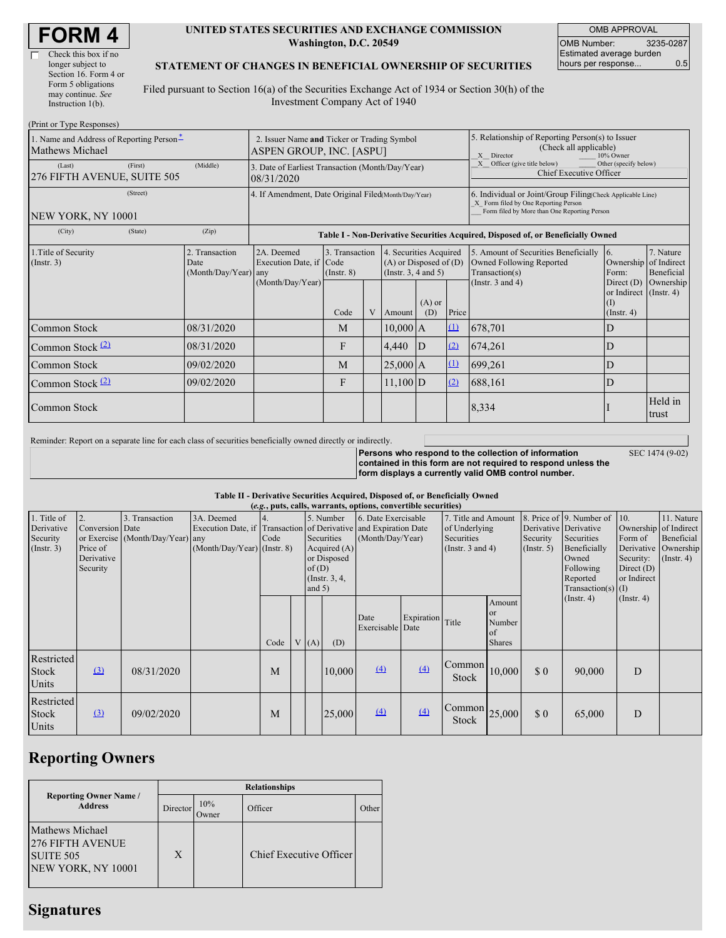| Check this box if no  |
|-----------------------|
| longer subject to     |
| Section 16. Form 4 or |
| Form 5 obligations    |
| may continue. See     |
| Instruction $1(b)$ .  |

 $(Print or True *Ren*)$ 

#### **UNITED STATES SECURITIES AND EXCHANGE COMMISSION Washington, D.C. 20549**

OMB APPROVAL OMB Number: 3235-0287 Estimated average burden hours per response... 0.5

### **STATEMENT OF CHANGES IN BENEFICIAL OWNERSHIP OF SECURITIES**

Filed pursuant to Section 16(a) of the Securities Exchange Act of 1934 or Section 30(h) of the Investment Company Act of 1940

| $11 \text{m}$ or $1 \text{ ypc}$ <i>ivesponses</i><br>1. Name and Address of Reporting Person-<br>Mathews Michael | 2. Issuer Name and Ticker or Trading Symbol<br>ASPEN GROUP, INC. [ASPU] |                                                                                  |                                   |  |                                                                              | 5. Relationship of Reporting Person(s) to Issuer<br>(Check all applicable)<br>10% Owner<br>X Director |                                                                                  |                                                                                                                                                    |                                                                   |                         |  |
|-------------------------------------------------------------------------------------------------------------------|-------------------------------------------------------------------------|----------------------------------------------------------------------------------|-----------------------------------|--|------------------------------------------------------------------------------|-------------------------------------------------------------------------------------------------------|----------------------------------------------------------------------------------|----------------------------------------------------------------------------------------------------------------------------------------------------|-------------------------------------------------------------------|-------------------------|--|
| (First)<br>(Last)<br>276 FIFTH AVENUE, SUITE 505                                                                  | (Middle)                                                                | 3. Date of Earliest Transaction (Month/Day/Year)<br>08/31/2020                   |                                   |  |                                                                              |                                                                                                       | Other (specify below)<br>X Officer (give title below)<br>Chief Executive Officer |                                                                                                                                                    |                                                                   |                         |  |
| (Street)<br>NEW YORK, NY 10001                                                                                    |                                                                         | 4. If Amendment, Date Original Filed Month/Day/Year)                             |                                   |  |                                                                              |                                                                                                       |                                                                                  | 6. Individual or Joint/Group Filing(Check Applicable Line)<br>X Form filed by One Reporting Person<br>Form filed by More than One Reporting Person |                                                                   |                         |  |
| (City)<br>(State)                                                                                                 | (Zip)                                                                   | Table I - Non-Derivative Securities Acquired, Disposed of, or Beneficially Owned |                                   |  |                                                                              |                                                                                                       |                                                                                  |                                                                                                                                                    |                                                                   |                         |  |
| 1. Title of Security<br>$($ Instr. 3 $)$                                                                          | 2. Transaction<br>Date<br>$(Month/Day/Year)$ any                        | 2A. Deemed<br>Execution Date, if Code                                            | 3. Transaction<br>$($ Instr. $8)$ |  | 4. Securities Acquired<br>$(A)$ or Disposed of $(D)$<br>(Insert. 3, 4 and 5) |                                                                                                       |                                                                                  | 5. Amount of Securities Beneficially<br>Owned Following Reported<br>Transaction(s)                                                                 | 16.<br>Ownership of Indirect<br>Form:                             | 7. Nature<br>Beneficial |  |
|                                                                                                                   |                                                                         | (Month/Day/Year)                                                                 | Code                              |  | Amount                                                                       | $(A)$ or<br>(D)                                                                                       | Price                                                                            | (Instr. $3$ and $4$ )                                                                                                                              | Direct $(D)$<br>or Indirect (Instr. 4)<br>(I)<br>$($ Instr. 4 $)$ | Ownership               |  |
| Common Stock                                                                                                      | 08/31/2020                                                              |                                                                                  | M                                 |  | $10,000$ A                                                                   |                                                                                                       | $\Omega$                                                                         | 678,701                                                                                                                                            | D                                                                 |                         |  |
| Common Stock $(2)$                                                                                                | 08/31/2020                                                              |                                                                                  | F                                 |  | 4,440                                                                        | ID                                                                                                    | (2)                                                                              | 674,261                                                                                                                                            | D                                                                 |                         |  |
| Common Stock                                                                                                      | 09/02/2020                                                              |                                                                                  | M                                 |  | $ 25,000 $ A                                                                 |                                                                                                       | $\Omega$                                                                         | 699,261                                                                                                                                            | D                                                                 |                         |  |
| Common Stock $(2)$                                                                                                | 09/02/2020                                                              |                                                                                  | F                                 |  | $11,100$ D                                                                   |                                                                                                       | (2)                                                                              | 688,161                                                                                                                                            | D                                                                 |                         |  |
| Common Stock                                                                                                      |                                                                         |                                                                                  |                                   |  |                                                                              |                                                                                                       |                                                                                  | 8,334                                                                                                                                              |                                                                   | Held in<br>trust        |  |

Reminder: Report on a separate line for each class of securities beneficially owned directly or indirectly.

**Persons who respond to the collection of information contained in this form are not required to respond unless the form displays a currently valid OMB control number.**

SEC 1474 (9-02)

#### **Table II - Derivative Securities Acquired, Disposed of, or Beneficially Owned**

| (e.g., puts, calls, warrants, options, convertible securities) |                                                             |                                                    |                                             |      |                                                                                                                                                                      |      |                                         |                          |                                                                             |                                                                                |                                                       |                                                                                                                  |                                                            |                                                                                            |  |
|----------------------------------------------------------------|-------------------------------------------------------------|----------------------------------------------------|---------------------------------------------|------|----------------------------------------------------------------------------------------------------------------------------------------------------------------------|------|-----------------------------------------|--------------------------|-----------------------------------------------------------------------------|--------------------------------------------------------------------------------|-------------------------------------------------------|------------------------------------------------------------------------------------------------------------------|------------------------------------------------------------|--------------------------------------------------------------------------------------------|--|
| 1. Title of<br>Derivative<br>Security<br>(Insert. 3)           | 2.<br>Conversion Date<br>Price of<br>Derivative<br>Security | 3. Transaction<br>or Exercise (Month/Day/Year) any | 3A. Deemed<br>$(Month/Day/Year)$ (Instr. 8) | Code | 5. Number<br>Execution Date, if Transaction of Derivative and Expiration Date<br>Securities<br>Acquired $(A)$<br>or Disposed<br>of(D)<br>(Instr. $3, 4,$<br>and $5)$ |      | 6. Date Exercisable<br>(Month/Day/Year) |                          | 7. Title and Amount<br>of Underlying<br>Securities<br>(Instr. $3$ and $4$ ) |                                                                                | Derivative Derivative<br>Security<br>$($ Instr. 5 $)$ | 8. Price of 9. Number of<br>Securities<br>Beneficially<br>Owned<br>Following<br>Reported<br>$Transaction(s)$ (I) | 10.<br>Form of<br>Security:<br>Direct $(D)$<br>or Indirect | 11. Nature<br>Ownership of Indirect<br>Beneficial<br>Derivative Ownership<br>$($ Instr. 4) |  |
|                                                                |                                                             |                                                    |                                             | Code |                                                                                                                                                                      | V(A) | (D)                                     | Date<br>Exercisable Date | Expiration                                                                  | Title                                                                          | Amount<br>or<br>Number<br>of<br><b>Shares</b>         |                                                                                                                  | $($ Instr. 4 $)$                                           | $($ Instr. 4 $)$                                                                           |  |
| Restricted<br><b>Stock</b><br>Units                            | $\Omega$                                                    | 08/31/2020                                         |                                             | M    |                                                                                                                                                                      |      | 10.000                                  | (4)                      | (4)                                                                         | Common<br><b>Stock</b>                                                         | 10,000                                                | \$0                                                                                                              | 90,000                                                     | D                                                                                          |  |
| Restricted<br><b>Stock</b><br>Units                            | $\underline{3}$                                             | 09/02/2020                                         |                                             | M    |                                                                                                                                                                      |      | 25,000                                  | (4)                      | (4)                                                                         | $\begin{bmatrix} \text{Common} \\ \text{25,000} \end{bmatrix}$<br><b>Stock</b> |                                                       | \$0                                                                                                              | 65,000                                                     | D                                                                                          |  |

# **Reporting Owners**

|                                                                               | <b>Relationships</b> |                     |                         |       |  |  |  |  |  |  |
|-------------------------------------------------------------------------------|----------------------|---------------------|-------------------------|-------|--|--|--|--|--|--|
| <b>Reporting Owner Name /</b><br><b>Address</b>                               | Director             | 10%<br><b>Twner</b> | Officer                 | )ther |  |  |  |  |  |  |
| Mathews Michael<br><b>276 FIFTH AVENUE</b><br>SUITE 505<br>NEW YORK, NY 10001 | X                    |                     | Chief Executive Officer |       |  |  |  |  |  |  |

# **Signatures**